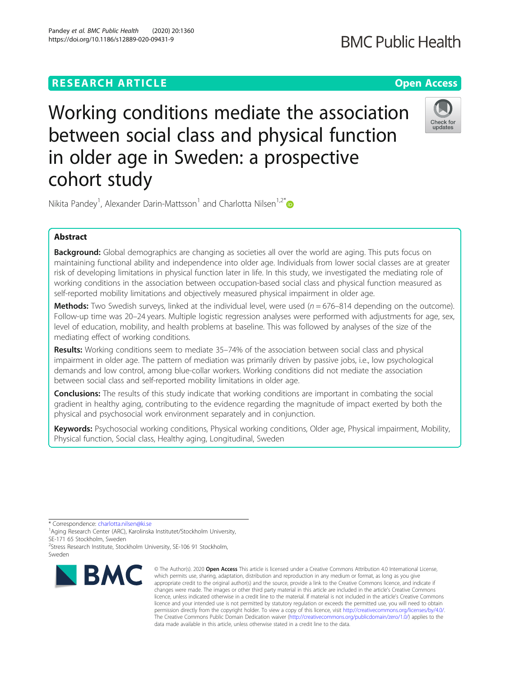### **RESEARCH ARTICLE Example 2014 12:30 The Contract of Contract ACCESS**

## **BMC Public Health**

# Working conditions mediate the association between social class and physical function in older age in Sweden: a prospective cohort study



Nikita Pandey<sup>1</sup>, Alexander Darin-Mattsson<sup>1</sup> and Charlotta Nilsen<sup>1,2[\\*](http://orcid.org/0000-0003-3662-5486)</sup>

### Abstract

**Background:** Global demographics are changing as societies all over the world are aging. This puts focus on maintaining functional ability and independence into older age. Individuals from lower social classes are at greater risk of developing limitations in physical function later in life. In this study, we investigated the mediating role of working conditions in the association between occupation-based social class and physical function measured as self-reported mobility limitations and objectively measured physical impairment in older age.

**Methods:** Two Swedish surveys, linked at the individual level, were used  $(n = 676-814$  depending on the outcome). Follow-up time was 20–24 years. Multiple logistic regression analyses were performed with adjustments for age, sex, level of education, mobility, and health problems at baseline. This was followed by analyses of the size of the mediating effect of working conditions.

Results: Working conditions seem to mediate 35-74% of the association between social class and physical impairment in older age. The pattern of mediation was primarily driven by passive jobs, i.e., low psychological demands and low control, among blue-collar workers. Working conditions did not mediate the association between social class and self-reported mobility limitations in older age.

**Conclusions:** The results of this study indicate that working conditions are important in combating the social gradient in healthy aging, contributing to the evidence regarding the magnitude of impact exerted by both the physical and psychosocial work environment separately and in conjunction.

Keywords: Psychosocial working conditions, Physical working conditions, Older age, Physical impairment, Mobility, Physical function, Social class, Healthy aging, Longitudinal, Sweden

<sup>&</sup>lt;sup>2</sup>Stress Research Institute, Stockholm University, SE-106 91 Stockholm, Sweden



<sup>©</sup> The Author(s), 2020 **Open Access** This article is licensed under a Creative Commons Attribution 4.0 International License, which permits use, sharing, adaptation, distribution and reproduction in any medium or format, as long as you give appropriate credit to the original author(s) and the source, provide a link to the Creative Commons licence, and indicate if changes were made. The images or other third party material in this article are included in the article's Creative Commons licence, unless indicated otherwise in a credit line to the material. If material is not included in the article's Creative Commons licence and your intended use is not permitted by statutory regulation or exceeds the permitted use, you will need to obtain permission directly from the copyright holder. To view a copy of this licence, visit [http://creativecommons.org/licenses/by/4.0/.](http://creativecommons.org/licenses/by/4.0/) The Creative Commons Public Domain Dedication waiver [\(http://creativecommons.org/publicdomain/zero/1.0/](http://creativecommons.org/publicdomain/zero/1.0/)) applies to the data made available in this article, unless otherwise stated in a credit line to the data.

<sup>\*</sup> Correspondence: [charlotta.nilsen@ki.se](mailto:charlotta.nilsen@ki.se)<br><sup>1</sup>Aging Research Center (ARC), Karolinska Institutet/Stockholm University, SE-171 65 Stockholm, Sweden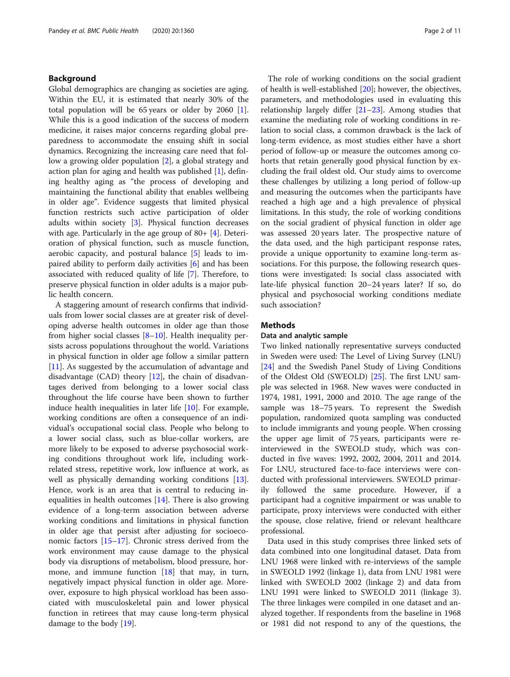#### Background

Global demographics are changing as societies are aging. Within the EU, it is estimated that nearly 30% of the total population will be 65 years or older by 2060 [\[1](#page-9-0)]. While this is a good indication of the success of modern medicine, it raises major concerns regarding global preparedness to accommodate the ensuing shift in social dynamics. Recognizing the increasing care need that follow a growing older population [\[2](#page-9-0)], a global strategy and action plan for aging and health was published [\[1](#page-9-0)], defining healthy aging as "the process of developing and maintaining the functional ability that enables wellbeing in older age". Evidence suggests that limited physical function restricts such active participation of older adults within society [\[3](#page-9-0)]. Physical function decreases with age. Particularly in the age group of 80+ [\[4](#page-9-0)]. Deterioration of physical function, such as muscle function, aerobic capacity, and postural balance [\[5\]](#page-9-0) leads to impaired ability to perform daily activities [\[6](#page-9-0)] and has been associated with reduced quality of life [[7\]](#page-9-0). Therefore, to preserve physical function in older adults is a major public health concern.

A staggering amount of research confirms that individuals from lower social classes are at greater risk of developing adverse health outcomes in older age than those from higher social classes  $[8-10]$  $[8-10]$  $[8-10]$  $[8-10]$  $[8-10]$ . Health inequality persists across populations throughout the world. Variations in physical function in older age follow a similar pattern [[11\]](#page-9-0). As suggested by the accumulation of advantage and disadvantage (CAD) theory [\[12](#page-9-0)], the chain of disadvantages derived from belonging to a lower social class throughout the life course have been shown to further induce health inequalities in later life [\[10](#page-9-0)]. For example, working conditions are often a consequence of an individual's occupational social class. People who belong to a lower social class, such as blue-collar workers, are more likely to be exposed to adverse psychosocial working conditions throughout work life, including workrelated stress, repetitive work, low influence at work, as well as physically demanding working conditions [\[13](#page-9-0)]. Hence, work is an area that is central to reducing inequalities in health outcomes [\[14](#page-9-0)]. There is also growing evidence of a long-term association between adverse working conditions and limitations in physical function in older age that persist after adjusting for socioeconomic factors [\[15](#page-9-0)–[17\]](#page-9-0). Chronic stress derived from the work environment may cause damage to the physical body via disruptions of metabolism, blood pressure, hormone, and immune function  $[18]$  $[18]$  $[18]$  that may, in turn, negatively impact physical function in older age. Moreover, exposure to high physical workload has been associated with musculoskeletal pain and lower physical function in retirees that may cause long-term physical damage to the body [[19\]](#page-9-0).

The role of working conditions on the social gradient of health is well-established [\[20](#page-9-0)]; however, the objectives, parameters, and methodologies used in evaluating this relationship largely differ [[21](#page-9-0)–[23](#page-9-0)]. Among studies that examine the mediating role of working conditions in relation to social class, a common drawback is the lack of long-term evidence, as most studies either have a short period of follow-up or measure the outcomes among cohorts that retain generally good physical function by excluding the frail oldest old. Our study aims to overcome these challenges by utilizing a long period of follow-up and measuring the outcomes when the participants have reached a high age and a high prevalence of physical limitations. In this study, the role of working conditions on the social gradient of physical function in older age was assessed 20 years later. The prospective nature of the data used, and the high participant response rates, provide a unique opportunity to examine long-term associations. For this purpose, the following research questions were investigated: Is social class associated with late-life physical function 20–24 years later? If so, do physical and psychosocial working conditions mediate such association?

#### **Methods**

#### Data and analytic sample

Two linked nationally representative surveys conducted in Sweden were used: The Level of Living Survey (LNU) [[24\]](#page-9-0) and the Swedish Panel Study of Living Conditions of the Oldest Old (SWEOLD) [\[25](#page-9-0)]. The first LNU sample was selected in 1968. New waves were conducted in 1974, 1981, 1991, 2000 and 2010. The age range of the sample was 18–75 years. To represent the Swedish population, randomized quota sampling was conducted to include immigrants and young people. When crossing the upper age limit of 75 years, participants were reinterviewed in the SWEOLD study, which was conducted in five waves: 1992, 2002, 2004, 2011 and 2014. For LNU, structured face-to-face interviews were conducted with professional interviewers. SWEOLD primarily followed the same procedure. However, if a participant had a cognitive impairment or was unable to participate, proxy interviews were conducted with either the spouse, close relative, friend or relevant healthcare professional.

Data used in this study comprises three linked sets of data combined into one longitudinal dataset. Data from LNU 1968 were linked with re-interviews of the sample in SWEOLD 1992 (linkage 1), data from LNU 1981 were linked with SWEOLD 2002 (linkage 2) and data from LNU 1991 were linked to SWEOLD 2011 (linkage 3). The three linkages were compiled in one dataset and analyzed together. If respondents from the baseline in 1968 or 1981 did not respond to any of the questions, the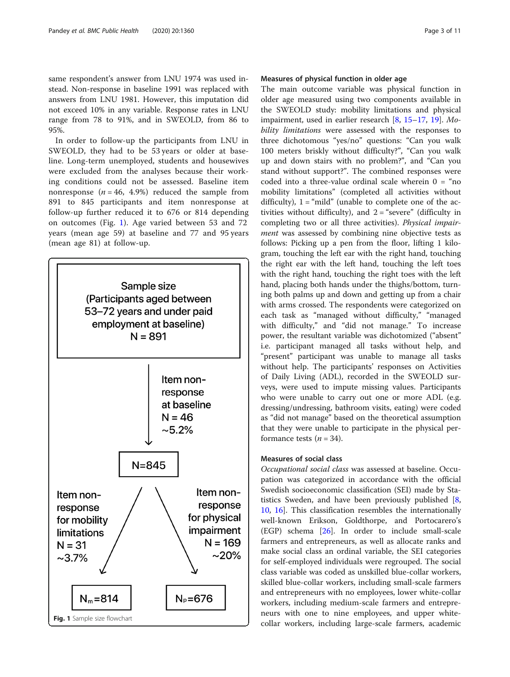same respondent's answer from LNU 1974 was used instead. Non-response in baseline 1991 was replaced with answers from LNU 1981. However, this imputation did not exceed 10% in any variable. Response rates in LNU range from 78 to 91%, and in SWEOLD, from 86 to 95%.

In order to follow-up the participants from LNU in SWEOLD, they had to be 53 years or older at baseline. Long-term unemployed, students and housewives were excluded from the analyses because their working conditions could not be assessed. Baseline item nonresponse  $(n = 46, 4.9%)$  reduced the sample from 891 to 845 participants and item nonresponse at follow-up further reduced it to 676 or 814 depending on outcomes (Fig. 1). Age varied between 53 and 72 years (mean age 59) at baseline and 77 and 95 years (mean age 81) at follow-up.



#### Measures of physical function in older age

The main outcome variable was physical function in older age measured using two components available in the SWEOLD study: mobility limitations and physical impairment, used in earlier research [\[8](#page-9-0), [15](#page-9-0)–[17](#page-9-0), [19\]](#page-9-0). Mobility limitations were assessed with the responses to three dichotomous "yes/no" questions: "Can you walk 100 meters briskly without difficulty?", "Can you walk up and down stairs with no problem?", and "Can you stand without support?". The combined responses were coded into a three-value ordinal scale wherein 0 = "no mobility limitations" (completed all activities without difficulty),  $1 = \text{``mild''}$  (unable to complete one of the activities without difficulty), and  $2 =$  "severe" (difficulty in completing two or all three activities). Physical impairment was assessed by combining nine objective tests as follows: Picking up a pen from the floor, lifting 1 kilogram, touching the left ear with the right hand, touching the right ear with the left hand, touching the left toes with the right hand, touching the right toes with the left hand, placing both hands under the thighs/bottom, turning both palms up and down and getting up from a chair with arms crossed. The respondents were categorized on each task as "managed without difficulty," "managed with difficulty," and "did not manage." To increase power, the resultant variable was dichotomized ("absent" i.e. participant managed all tasks without help, and "present" participant was unable to manage all tasks without help. The participants' responses on Activities of Daily Living (ADL), recorded in the SWEOLD surveys, were used to impute missing values. Participants who were unable to carry out one or more ADL (e.g. dressing/undressing, bathroom visits, eating) were coded as "did not manage" based on the theoretical assumption that they were unable to participate in the physical performance tests  $(n = 34)$ .

#### Measures of social class

Occupational social class was assessed at baseline. Occupation was categorized in accordance with the official Swedish socioeconomic classification (SEI) made by Statistics Sweden, and have been previously published [\[8](#page-9-0), [10,](#page-9-0) [16\]](#page-9-0). This classification resembles the internationally well-known Erikson, Goldthorpe, and Portocarero's (EGP) schema [\[26](#page-9-0)]. In order to include small-scale farmers and entrepreneurs, as well as allocate ranks and make social class an ordinal variable, the SEI categories for self-employed individuals were regrouped. The social class variable was coded as unskilled blue-collar workers, skilled blue-collar workers, including small-scale farmers and entrepreneurs with no employees, lower white-collar workers, including medium-scale farmers and entrepreneurs with one to nine employees, and upper white-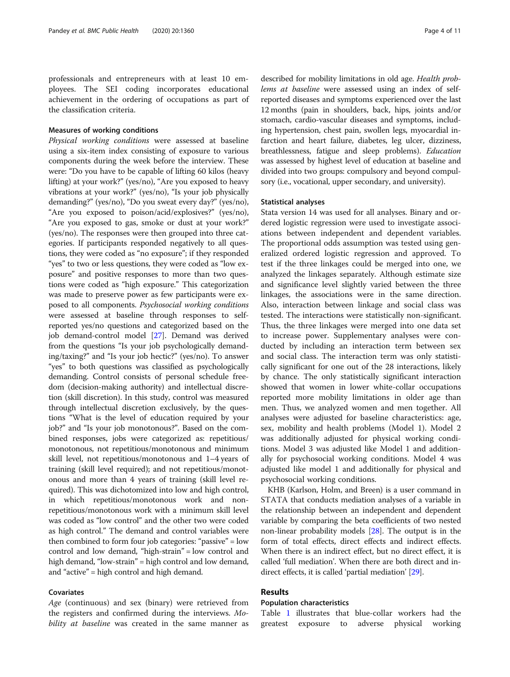professionals and entrepreneurs with at least 10 employees. The SEI coding incorporates educational achievement in the ordering of occupations as part of the classification criteria.

#### Measures of working conditions

Physical working conditions were assessed at baseline using a six-item index consisting of exposure to various components during the week before the interview. These were: "Do you have to be capable of lifting 60 kilos (heavy lifting) at your work?" (yes/no), "Are you exposed to heavy vibrations at your work?" (yes/no), "Is your job physically demanding?" (yes/no), "Do you sweat every day?" (yes/no), "Are you exposed to poison/acid/explosives?" (yes/no), "Are you exposed to gas, smoke or dust at your work?" (yes/no). The responses were then grouped into three categories. If participants responded negatively to all questions, they were coded as "no exposure"; if they responded "yes" to two or less questions, they were coded as "low exposure" and positive responses to more than two questions were coded as "high exposure." This categorization was made to preserve power as few participants were exposed to all components. Psychosocial working conditions were assessed at baseline through responses to selfreported yes/no questions and categorized based on the job demand-control model [[27](#page-9-0)]. Demand was derived from the questions "Is your job psychologically demanding/taxing?" and "Is your job hectic?" (yes/no). To answer "yes" to both questions was classified as psychologically demanding. Control consists of personal schedule freedom (decision-making authority) and intellectual discretion (skill discretion). In this study, control was measured through intellectual discretion exclusively, by the questions "What is the level of education required by your job?" and "Is your job monotonous?". Based on the combined responses, jobs were categorized as: repetitious/ monotonous, not repetitious/monotonous and minimum skill level, not repetitious/monotonous and 1–4 years of training (skill level required); and not repetitious/monotonous and more than 4 years of training (skill level required). This was dichotomized into low and high control, in which repetitious/monotonous work and nonrepetitious/monotonous work with a minimum skill level was coded as "low control" and the other two were coded as high control." The demand and control variables were then combined to form four job categories: "passive" = low control and low demand, "high-strain" = low control and high demand, "low-strain" = high control and low demand, and "active" = high control and high demand.

#### Covariates

Age (continuous) and sex (binary) were retrieved from the registers and confirmed during the interviews. Mobility at baseline was created in the same manner as

described for mobility limitations in old age. Health problems at baseline were assessed using an index of selfreported diseases and symptoms experienced over the last 12 months (pain in shoulders, back, hips, joints and/or stomach, cardio-vascular diseases and symptoms, including hypertension, chest pain, swollen legs, myocardial infarction and heart failure, diabetes, leg ulcer, dizziness, breathlessness, fatigue and sleep problems). Education was assessed by highest level of education at baseline and divided into two groups: compulsory and beyond compulsory (i.e., vocational, upper secondary, and university).

#### Statistical analyses

Stata version 14 was used for all analyses. Binary and ordered logistic regression were used to investigate associations between independent and dependent variables. The proportional odds assumption was tested using generalized ordered logistic regression and approved. To test if the three linkages could be merged into one, we analyzed the linkages separately. Although estimate size and significance level slightly varied between the three linkages, the associations were in the same direction. Also, interaction between linkage and social class was tested. The interactions were statistically non-significant. Thus, the three linkages were merged into one data set to increase power. Supplementary analyses were conducted by including an interaction term between sex and social class. The interaction term was only statistically significant for one out of the 28 interactions, likely by chance. The only statistically significant interaction showed that women in lower white-collar occupations reported more mobility limitations in older age than men. Thus, we analyzed women and men together. All analyses were adjusted for baseline characteristics: age, sex, mobility and health problems (Model 1). Model 2 was additionally adjusted for physical working conditions. Model 3 was adjusted like Model 1 and additionally for psychosocial working conditions. Model 4 was adjusted like model 1 and additionally for physical and psychosocial working conditions.

KHB (Karlson, Holm, and Breen) is a user command in STATA that conducts mediation analyses of a variable in the relationship between an independent and dependent variable by comparing the beta coefficients of two nested non-linear probability models [[28](#page-9-0)]. The output is in the form of total effects, direct effects and indirect effects. When there is an indirect effect, but no direct effect, it is called 'full mediation'. When there are both direct and indirect effects, it is called 'partial mediation' [\[29](#page-9-0)].

#### Results

#### Population characteristics

Table [1](#page-4-0) illustrates that blue-collar workers had the greatest exposure to adverse physical working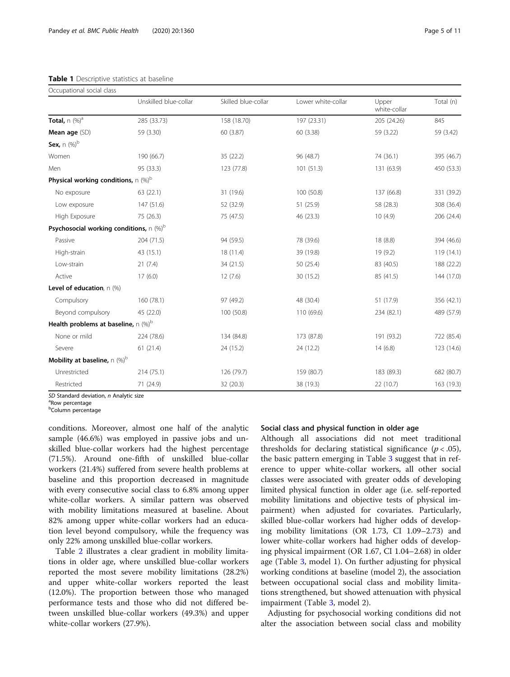#### <span id="page-4-0"></span>Table 1 Descriptive statistics at baseline

| Occupational social class                                       |                       |                     |                    |                       |            |  |  |  |
|-----------------------------------------------------------------|-----------------------|---------------------|--------------------|-----------------------|------------|--|--|--|
|                                                                 | Unskilled blue-collar | Skilled blue-collar | Lower white-collar | Upper<br>white-collar | Total (n)  |  |  |  |
| Total, $n$ $(\%)^a$                                             | 285 (33.73)           | 158 (18.70)         | 197 (23.31)        | 205 (24.26)           | 845        |  |  |  |
| Mean age (SD)                                                   | 59 (3.30)             | 60 (3.87)           | 60 (3.38)          | 59 (3.22)             | 59 (3.42)  |  |  |  |
| Sex, n $(\%)^b$                                                 |                       |                     |                    |                       |            |  |  |  |
| Women                                                           | 190 (66.7)            | 35(22.2)            | 96 (48.7)          | 74 (36.1)             | 395 (46.7) |  |  |  |
| Men                                                             | 95 (33.3)             | 123 (77.8)          | 101(51.3)          | 131 (63.9)            | 450 (53.3) |  |  |  |
| <b>Physical working conditions, n <math>(\%)^{\circ}</math></b> |                       |                     |                    |                       |            |  |  |  |
| No exposure                                                     | 63(22.1)              | 31 (19.6)           | 100 (50.8)         | 137 (66.8)            | 331 (39.2) |  |  |  |
| Low exposure                                                    | 147 (51.6)            | 52 (32.9)           | 51 (25.9)          | 58 (28.3)             | 308 (36.4) |  |  |  |
| High Exposure                                                   | 75 (26.3)             | 75 (47.5)           | 46 (23.3)          | 10(4.9)               | 206 (24.4) |  |  |  |
| Psychosocial working conditions, $n (\%)^b$                     |                       |                     |                    |                       |            |  |  |  |
| Passive                                                         | 204 (71.5)            | 94 (59.5)           | 78 (39.6)          | 18 (8.8)              | 394 (46.6) |  |  |  |
| High-strain                                                     | 43 (15.1)             | 18 (11.4)           | 39 (19.8)          | 19 (9.2)              | 119 (14.1) |  |  |  |
| Low-strain                                                      | 21(7.4)               | 34 (21.5)           | 50 (25.4)          | 83 (40.5)             | 188 (22.2) |  |  |  |
| Active                                                          | 17(6.0)               | 12(7.6)             | 30 (15.2)          | 85 (41.5)             | 144 (17.0) |  |  |  |
| Level of education, n (%)                                       |                       |                     |                    |                       |            |  |  |  |
| Compulsory                                                      | 160(78.1)             | 97 (49.2)           | 48 (30.4)          | 51 (17.9)             | 356 (42.1) |  |  |  |
| Beyond compulsory                                               | 45 (22.0)             | 100 (50.8)          | 110 (69.6)         | 234 (82.1)            | 489 (57.9) |  |  |  |
| Health problems at baseline, $n (\%)^b$                         |                       |                     |                    |                       |            |  |  |  |
| None or mild                                                    | 224 (78.6)            | 134 (84.8)          | 173 (87.8)         | 191 (93.2)            | 722 (85.4) |  |  |  |
| Severe                                                          | 61(21.4)              | 24 (15.2)           | 24 (12.2)          | 14(6.8)               | 123 (14.6) |  |  |  |
| Mobility at baseline, $n (\%)^b$                                |                       |                     |                    |                       |            |  |  |  |
| Unrestricted                                                    | 214(75.1)             | 126 (79.7)          | 159 (80.7)         | 183 (89.3)            | 682 (80.7) |  |  |  |
| Restricted                                                      | 71 (24.9)             | 32 (20.3)           | 38 (19.3)          | 22 (10.7)             | 163 (19.3) |  |  |  |

SD Standard deviation,  $n$  Analytic size

<sup>a</sup>Row percentage

conditions. Moreover, almost one half of the analytic sample (46.6%) was employed in passive jobs and unskilled blue-collar workers had the highest percentage (71.5%). Around one-fifth of unskilled blue-collar workers (21.4%) suffered from severe health problems at baseline and this proportion decreased in magnitude with every consecutive social class to 6.8% among upper white-collar workers. A similar pattern was observed with mobility limitations measured at baseline. About 82% among upper white-collar workers had an education level beyond compulsory, while the frequency was only 22% among unskilled blue-collar workers.

Table [2](#page-5-0) illustrates a clear gradient in mobility limitations in older age, where unskilled blue-collar workers reported the most severe mobility limitations (28.2%) and upper white-collar workers reported the least (12.0%). The proportion between those who managed performance tests and those who did not differed between unskilled blue-collar workers (49.3%) and upper white-collar workers (27.9%).

#### Social class and physical function in older age

Although all associations did not meet traditional thresholds for declaring statistical significance  $(p < .05)$ , the basic pattern emerging in Table [3](#page-6-0) suggest that in reference to upper white-collar workers, all other social classes were associated with greater odds of developing limited physical function in older age (i.e. self-reported mobility limitations and objective tests of physical impairment) when adjusted for covariates. Particularly, skilled blue-collar workers had higher odds of developing mobility limitations (OR 1.73, CI 1.09–2.73) and lower white-collar workers had higher odds of developing physical impairment (OR 1.67, CI 1.04–2.68) in older age (Table [3,](#page-6-0) model 1). On further adjusting for physical working conditions at baseline (model 2), the association between occupational social class and mobility limitations strengthened, but showed attenuation with physical impairment (Table [3](#page-6-0), model 2).

Adjusting for psychosocial working conditions did not alter the association between social class and mobility

<sup>&</sup>lt;sup>b</sup>Column percentage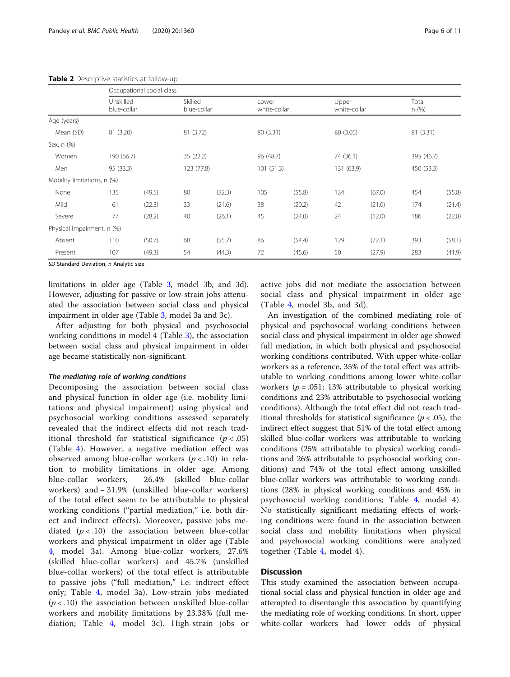<span id="page-5-0"></span>

| <b>Table 2</b> Descriptive statistics at follow-up |                           |        |                        |            |       |              |     |                       |     |                |  |
|----------------------------------------------------|---------------------------|--------|------------------------|------------|-------|--------------|-----|-----------------------|-----|----------------|--|
|                                                    | Occupational social class |        |                        |            |       |              |     |                       |     |                |  |
|                                                    | Unskilled<br>blue-collar  |        | Skilled<br>blue-collar |            | Lower | white-collar |     | Upper<br>white-collar |     | Total<br>n (%) |  |
| Age (years)                                        |                           |        |                        |            |       |              |     |                       |     |                |  |
| Mean (SD)                                          | 81 (3.20)                 |        |                        | 81 (3.72)  |       | 80 (3.31)    |     | 80 (3.05)             |     | 81 (3.31)      |  |
| Sex, n (%)                                         |                           |        |                        |            |       |              |     |                       |     |                |  |
| Women                                              | 190 (66.7)                |        |                        | 35 (22.2)  |       | 96 (48.7)    |     | 74 (36.1)             |     | 395 (46.7)     |  |
| Men                                                | 95 (33.3)                 |        |                        | 123 (77.8) |       | 101(51.3)    |     | 131 (63.9)            |     | 450 (53.3)     |  |
| Mobility limitations, n (%)                        |                           |        |                        |            |       |              |     |                       |     |                |  |
| None                                               | 135                       | (49.5) | 80                     | (52.3)     | 105   | (55.8)       | 134 | (67.0)                | 454 | (55.8)         |  |

Mild 61 (22.3) 33 (21.6) 38 (20.2) 42 (21.0) 174 (21.4) Severe 77 (28.2) 40 (26.1) 45 (24.0) 24 (12.0) 186 (22.8)

Absent 110 (50.7) 68 (55.7) 86 (54.4) 129 (72.1) 393 (58.1) Present 107 (49.3) 54 (44.3) 72 (45.6) 50 (27.9) 283 (41.9)

#### Table 2  $D$

SD Standard Deviation, n Analytic size

Physical Impairment, n (%)

limitations in older age (Table [3,](#page-6-0) model 3b, and 3d). However, adjusting for passive or low-strain jobs attenuated the association between social class and physical impairment in older age (Table [3,](#page-6-0) model 3a and 3c).

After adjusting for both physical and psychosocial working conditions in model 4 (Table [3](#page-6-0)), the association between social class and physical impairment in older age became statistically non-significant.

#### The mediating role of working conditions

Decomposing the association between social class and physical function in older age (i.e. mobility limitations and physical impairment) using physical and psychosocial working conditions assessed separately revealed that the indirect effects did not reach traditional threshold for statistical significance  $(p < .05)$ (Table [4](#page-7-0)). However, a negative mediation effect was observed among blue-collar workers ( $p < .10$ ) in relation to mobility limitations in older age. Among blue-collar workers, − 26.4% (skilled blue-collar workers) and − 31.9% (unskilled blue-collar workers) of the total effect seem to be attributable to physical working conditions ("partial mediation," i.e. both direct and indirect effects). Moreover, passive jobs mediated  $(p < .10)$  the association between blue-collar workers and physical impairment in older age (Table [4,](#page-7-0) model 3a). Among blue-collar workers, 27.6% (skilled blue-collar workers) and 45.7% (unskilled blue-collar workers) of the total effect is attributable to passive jobs ("full mediation," i.e. indirect effect only; Table [4](#page-7-0), model 3a). Low-strain jobs mediated  $(p < .10)$  the association between unskilled blue-collar workers and mobility limitations by 23.38% (full mediation; Table [4](#page-7-0), model 3c). High-strain jobs or

active jobs did not mediate the association between social class and physical impairment in older age (Table [4](#page-7-0), model 3b, and 3d).

An investigation of the combined mediating role of physical and psychosocial working conditions between social class and physical impairment in older age showed full mediation, in which both physical and psychosocial working conditions contributed. With upper white-collar workers as a reference, 35% of the total effect was attributable to working conditions among lower white-collar workers ( $p = .051$ ; 13% attributable to physical working conditions and 23% attributable to psychosocial working conditions). Although the total effect did not reach traditional thresholds for statistical significance ( $p < .05$ ), the indirect effect suggest that 51% of the total effect among skilled blue-collar workers was attributable to working conditions (25% attributable to physical working conditions and 26% attributable to psychosocial working conditions) and 74% of the total effect among unskilled blue-collar workers was attributable to working conditions (28% in physical working conditions and 45% in psychosocial working conditions; Table [4](#page-7-0), model 4). No statistically significant mediating effects of working conditions were found in the association between social class and mobility limitations when physical and psychosocial working conditions were analyzed together (Table [4,](#page-7-0) model 4).

#### Discussion

This study examined the association between occupational social class and physical function in older age and attempted to disentangle this association by quantifying the mediating role of working conditions. In short, upper white-collar workers had lower odds of physical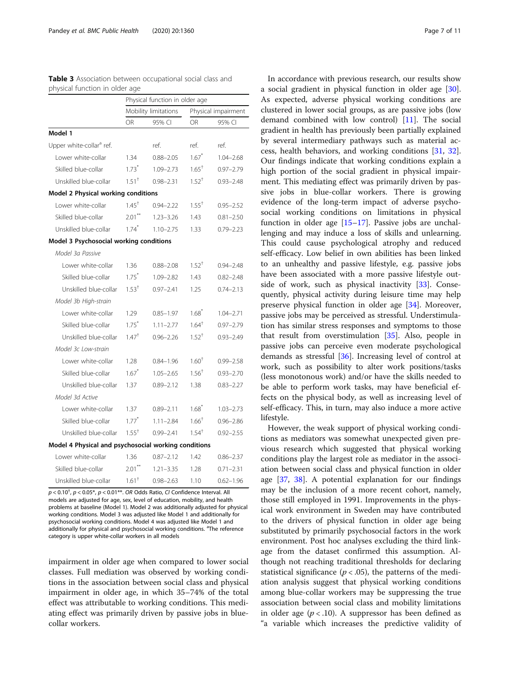|                                                      | Physical function in older age |                      |                     |               |  |  |
|------------------------------------------------------|--------------------------------|----------------------|---------------------|---------------|--|--|
|                                                      |                                | Mobility limitations | Physical impairment |               |  |  |
|                                                      | OR                             | 95% CI               | <b>OR</b>           | 95% CI        |  |  |
| Model 1                                              |                                |                      |                     |               |  |  |
| Upper white-collar <sup>a</sup> ref.                 |                                | ref.                 | ref.                | ref.          |  |  |
| Lower white-collar                                   | 1.34                           | $0.88 - 2.05$        | $1.67*$             | $1.04 - 2.68$ |  |  |
| Skilled blue-collar                                  | $1.73*$                        | $1.09 - 2.73$        | $1.65^+$            | $0.97 - 2.79$ |  |  |
| Unskilled blue-collar                                | $1.51^+$                       | $0.98 - 2.31$        | $1.52^{+}$          | $0.93 - 2.48$ |  |  |
| Model 2 Physical working conditions                  |                                |                      |                     |               |  |  |
| Lower white-collar                                   | $1.45^+$                       | $0.94 - 2.22$        | $1.55^{+}$          | $0.95 - 2.52$ |  |  |
| Skilled blue-collar                                  | $2.01***$                      | $1.23 - 3.26$        | 1.43                | $0.81 - 2.50$ |  |  |
| Unskilled blue-collar                                | $1.74$ <sup>*</sup>            | $1.10 - 2.75$        | 1.33                | $0.79 - 2.23$ |  |  |
| Model 3 Psychosocial working conditions              |                                |                      |                     |               |  |  |
| Model 3a Passive                                     |                                |                      |                     |               |  |  |
| Lower white-collar                                   | 1.36                           | $0.88 - 2.08$        | $1.52^{+}$          | $0.94 - 2.48$ |  |  |
| Skilled blue-collar                                  | $1.75*$                        | $1.09 - 2.82$        | 1.43                | $0.82 - 2.48$ |  |  |
| Unskilled blue-collar                                | $1.53^{+}$                     | $0.97 - 2.41$        | 1.25                | $0.74 - 2.13$ |  |  |
| Model 3b High-strain                                 |                                |                      |                     |               |  |  |
| I ower white-collar                                  | 1.29                           | $0.85 - 1.97$        | $1.68*$             | $1.04 - 2.71$ |  |  |
| Skilled blue-collar                                  | $1.75*$                        | $1.11 - 2.77$        | $1.64^+$            | $0.97 - 2.79$ |  |  |
| Unskilled blue-collar                                | $1.47^{\dagger}$               | $0.96 - 2.26$        | $1.52^{+}$          | $0.93 - 2.49$ |  |  |
| Model 3c Low-strain                                  |                                |                      |                     |               |  |  |
| I ower white-collar                                  | 1.28                           | $0.84 - 1.96$        | $1.60^{+}$          | $0.99 - 2.58$ |  |  |
| Skilled blue-collar                                  | 1.67                           | $1.05 - 2.65$        | $1.56^{\dagger}$    | $0.93 - 2.70$ |  |  |
| Unskilled blue-collar                                | 1.37                           | $0.89 - 2.12$        | 1.38                | $0.83 - 2.27$ |  |  |
| Model 3d Active                                      |                                |                      |                     |               |  |  |
| Lower white-collar                                   | 1.37                           | $0.89 - 2.11$        | $1.68^*$            | $1.03 - 2.73$ |  |  |
| Skilled blue-collar                                  | $1.77$ <sup>*</sup>            | $1.11 - 2.84$        | 1.66 <sup>†</sup>   | $0.96 - 2.86$ |  |  |
| Unskilled blue-collar                                | $1.55^+$                       | $0.99 - 2.41$        | $1.54^{\dagger}$    | $0.92 - 2.55$ |  |  |
| Model 4 Physical and psychosocial working conditions |                                |                      |                     |               |  |  |
| Lower white-collar                                   | 1.36                           | $0.87 - 2.12$        | 1.42                | $0.86 - 2.37$ |  |  |
| Skilled blue-collar                                  | $2.01***$                      | $1.21 - 3.35$        | 1.28                | $0.71 - 2.31$ |  |  |

 $p < 0.10^{\dagger}$ ,  $p < 0.05^*$ ,  $p < 0.01^{**}$ . OR Odds Ratio, CI Confidence Interval. All models are adjusted for age, sex, level of education, mobility, and health problems at baseline (Model 1). Model 2 was additionally adjusted for physical working conditions. Model 3 was adjusted like Model 1 and additionally for psychosocial working conditions. Model 4 was adjusted like Model 1 and additionally for physical and psychosocial working conditions. <sup>a</sup>The reference

Unskilled blue-collar  $1.61^{\dagger}$  0.98–2.63 1.10 0.62–1.96

category is upper white-collar workers in all models

impairment in older age when compared to lower social classes. Full mediation was observed by working conditions in the association between social class and physical impairment in older age, in which 35–74% of the total effect was attributable to working conditions. This mediating effect was primarily driven by passive jobs in bluecollar workers.

In accordance with previous research, our results show a social gradient in physical function in older age [\[30](#page-9-0)]. As expected, adverse physical working conditions are clustered in lower social groups, as are passive jobs (low demand combined with low control) [\[11](#page-9-0)]. The social gradient in health has previously been partially explained by several intermediary pathways such as material access, health behaviors, and working conditions [\[31](#page-9-0), [32](#page-9-0)]. Our findings indicate that working conditions explain a high portion of the social gradient in physical impairment. This mediating effect was primarily driven by passive jobs in blue-collar workers. There is growing evidence of the long-term impact of adverse psychosocial working conditions on limitations in physical function in older age [[15](#page-9-0)–[17](#page-9-0)]. Passive jobs are unchallenging and may induce a loss of skills and unlearning. This could cause psychological atrophy and reduced self-efficacy. Low belief in own abilities has been linked to an unhealthy and passive lifestyle, e.g. passive jobs have been associated with a more passive lifestyle out-side of work, such as physical inactivity [\[33\]](#page-9-0). Consequently, physical activity during leisure time may help preserve physical function in older age [[34\]](#page-9-0). Moreover, passive jobs may be perceived as stressful. Understimulation has similar stress responses and symptoms to those that result from overstimulation [[35\]](#page-9-0). Also, people in passive jobs can perceive even moderate psychological demands as stressful [\[36\]](#page-10-0). Increasing level of control at work, such as possibility to alter work positions/tasks (less monotonous work) and/or have the skills needed to be able to perform work tasks, may have beneficial effects on the physical body, as well as increasing level of self-efficacy. This, in turn, may also induce a more active lifestyle.

However, the weak support of physical working conditions as mediators was somewhat unexpected given previous research which suggested that physical working conditions play the largest role as mediator in the association between social class and physical function in older age [[37](#page-10-0), [38\]](#page-10-0). A potential explanation for our findings may be the inclusion of a more recent cohort, namely, those still employed in 1991. Improvements in the physical work environment in Sweden may have contributed to the drivers of physical function in older age being substituted by primarily psychosocial factors in the work environment. Post hoc analyses excluding the third linkage from the dataset confirmed this assumption. Although not reaching traditional thresholds for declaring statistical significance ( $p < .05$ ), the patterns of the mediation analysis suggest that physical working conditions among blue-collar workers may be suppressing the true association between social class and mobility limitations in older age ( $p < .10$ ). A suppressor has been defined as "a variable which increases the predictive validity of

<span id="page-6-0"></span>Table 3 Association between occupational social class and physical function in older age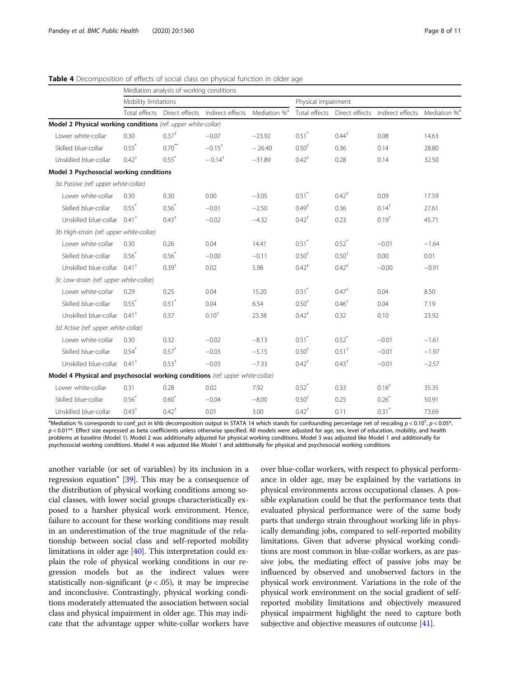|                                                                                | Mediation analysis of working conditions |                     |                                                 |                          |                     |                  |                                                 |                          |  |
|--------------------------------------------------------------------------------|------------------------------------------|---------------------|-------------------------------------------------|--------------------------|---------------------|------------------|-------------------------------------------------|--------------------------|--|
|                                                                                | Mobility limitations                     |                     |                                                 |                          | Physical impairment |                  |                                                 |                          |  |
|                                                                                |                                          |                     | Total effects  Direct effects  Indirect effects | Mediation % <sup>a</sup> |                     |                  | Total effects  Direct effects  Indirect effects | Mediation % <sup>a</sup> |  |
| Model 2 Physical working conditions (ref: upper white-collar)                  |                                          |                     |                                                 |                          |                     |                  |                                                 |                          |  |
| Lower white-collar                                                             | 0.30                                     | $0.37+$             | $-0.07$                                         | $-23.92$                 | $0.51$ <sup>*</sup> | $0.44^{\dagger}$ | 0.08                                            | 14.63                    |  |
| Skilled blue-collar                                                            | $0.55$ <sup>*</sup>                      | $0.70***$           | $-0.15$ <sup>†</sup>                            | $-26.40$                 | $0.50^{+}$          | 0.36             | 0.14                                            | 28.80                    |  |
| Unskilled blue-collar                                                          | $0.42^+$                                 | $0.55^*$            | $-0.14$ <sup>†</sup>                            | $-31.89$                 | $0.42^+$            | 0.28             | 0.14                                            | 32.50                    |  |
| Model 3 Psychosocial working conditions                                        |                                          |                     |                                                 |                          |                     |                  |                                                 |                          |  |
| 3a Passive (ref: upper white-collar)                                           |                                          |                     |                                                 |                          |                     |                  |                                                 |                          |  |
| Lower white-collar                                                             | 0.30                                     | 0.30                | 0.00                                            | $-3.05$                  | $0.51$ <sup>*</sup> | $0.42^+$         | 0.09                                            | 17.59                    |  |
| Skilled blue-collar                                                            | $0.55*$                                  | $0.56*$             | $-0.01$                                         | $-2.50$                  | $0.49^{+}$          | 0.36             | $0.14^+$                                        | 27.61                    |  |
| Unskilled blue-collar                                                          | $0.41^+$                                 | $0.43^+$            | $-0.02$                                         | $-4.32$                  | $0.42^+$            | 0.23             | $0.19^{+}$                                      | 45.71                    |  |
| 3b High-strain (ref: upper white-collar)                                       |                                          |                     |                                                 |                          |                     |                  |                                                 |                          |  |
| Lower white-collar                                                             | 0.30                                     | 0.26                | 0.04                                            | 14.41                    | $0.51$ <sup>*</sup> | $0.52^*$         | $-0.01$                                         | $-1.64$                  |  |
| Skilled blue-collar                                                            | $0.56*$                                  | $0.56*$             | $-0.00$                                         | $-0.11$                  | $0.50^{+}$          | $0.50^{+}$       | 0.00                                            | 0.01                     |  |
| Unskilled blue-collar                                                          | $0.41^+$                                 | $0.39^{+}$          | 0.02                                            | 5.98                     | $0.42^+$            | $0.42^+$         | $-0.00$                                         | $-0.91$                  |  |
| 3c Low-strain (ref: upper white-collar)                                        |                                          |                     |                                                 |                          |                     |                  |                                                 |                          |  |
| Lower white-collar                                                             | 0.29                                     | 0.25                | 0.04                                            | 15.20                    | $0.51$ <sup>*</sup> | $0.47^+$         | 0.04                                            | 8.50                     |  |
| Skilled blue-collar                                                            | $0.55^*$                                 | $0.51$ <sup>*</sup> | 0.04                                            | 6.54                     | $0.50^{+}$          | $0.46^+$         | 0.04                                            | 7.19                     |  |
| Unskilled blue-collar                                                          | $0.41^+$                                 | 0.37                | $0.10^{+}$                                      | 23.38                    | $0.42^+$            | 0.32             | 0.10                                            | 23.92                    |  |
| 3d Active (ref: upper white-collar)                                            |                                          |                     |                                                 |                          |                     |                  |                                                 |                          |  |
| Lower white-collar                                                             | 0.30                                     | 0.32                | $-0.02$                                         | $-8.13$                  | $0.51$ <sup>*</sup> | $0.52^*$         | $-0.01$                                         | $-1.61$                  |  |
| Skilled blue-collar                                                            | $0.54$ <sup>*</sup>                      | $0.57*$             | $-0.03$                                         | $-5.15$                  | $0.50^{+}$          | $0.51+$          | $-0.01$                                         | $-1.97$                  |  |
| Unskilled blue-collar                                                          | $0.41^+$                                 | $0.53^+$            | $-0.03$                                         | $-7.33$                  | $0.42^+$            | $0.43^+$         | $-0.01$                                         | $-2.57$                  |  |
| Model 4 Physical and psychosocial working conditions (ref: upper white-collar) |                                          |                     |                                                 |                          |                     |                  |                                                 |                          |  |
| Lower white-collar                                                             | 0.31                                     | 0.28                | 0.02                                            | 7.92                     | $0.52^*$            | 0.33             | $0.18^{+}$                                      | 35.35                    |  |
| Skilled blue-collar                                                            | $0.56^*$                                 | $0.60^{\degree}$    | $-0.04$                                         | $-8.00$                  | $0.50^{+}$          | 0.25             | $0.26^*$                                        | 50.91                    |  |
| Unskilled blue-collar                                                          | $0.43^+$                                 | $0.42^+$            | 0.01                                            | 3.00                     | $0.42^+$            | 0.11             | $0.31$ <sup>*</sup>                             | 73.69                    |  |

#### <span id="page-7-0"></span>Table 4 Decomposition of effects of social class on physical function in older age

<sup>a</sup>Mediation % corresponds to conf\_pct in khb decomposition output in STATA 14 which stands for confounding percentage net of rescaling  $p$  < 0.10<sup>†</sup>,  $p$  < 0.05\*,  $p$  < 0.01\*\*. Effect size expressed as beta coefficients unless otherwise specified. All models were adjusted for age, sex, level of education, mobility, and health problems at baseline (Model 1). Model 2 was additionally adjusted for physical working conditions. Model 3 was adjusted like Model 1 and additionally for psychosocial working conditions. Model 4 was adjusted like Model 1 and additionally for physical and psychosocial working conditions

another variable (or set of variables) by its inclusion in a regression equation" [\[39\]](#page-10-0). This may be a consequence of the distribution of physical working conditions among social classes, with lower social groups characteristically exposed to a harsher physical work environment. Hence, failure to account for these working conditions may result in an underestimation of the true magnitude of the relationship between social class and self-reported mobility limitations in older age [\[40\]](#page-10-0). This interpretation could explain the role of physical working conditions in our regression models but as the indirect values were statistically non-significant ( $p < .05$ ), it may be imprecise and inconclusive. Contrastingly, physical working conditions moderately attenuated the association between social class and physical impairment in older age. This may indicate that the advantage upper white-collar workers have over blue-collar workers, with respect to physical performance in older age, may be explained by the variations in physical environments across occupational classes. A possible explanation could be that the performance tests that evaluated physical performance were of the same body parts that undergo strain throughout working life in physically demanding jobs, compared to self-reported mobility limitations. Given that adverse physical working conditions are most common in blue-collar workers, as are passive jobs, the mediating effect of passive jobs may be influenced by observed and unobserved factors in the physical work environment. Variations in the role of the physical work environment on the social gradient of selfreported mobility limitations and objectively measured physical impairment highlight the need to capture both subjective and objective measures of outcome [\[41\]](#page-10-0).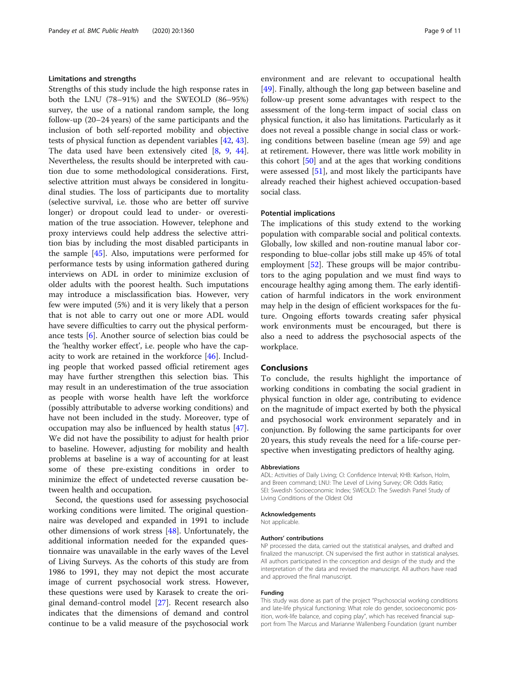#### Limitations and strengths

Strengths of this study include the high response rates in both the LNU (78–91%) and the SWEOLD (86–95%) survey, the use of a national random sample, the long follow-up (20–24 years) of the same participants and the inclusion of both self-reported mobility and objective tests of physical function as dependent variables [\[42](#page-10-0), [43](#page-10-0)]. The data used have been extensively cited [[8,](#page-9-0) [9,](#page-9-0) [44](#page-10-0)]. Nevertheless, the results should be interpreted with caution due to some methodological considerations. First, selective attrition must always be considered in longitudinal studies. The loss of participants due to mortality (selective survival, i.e. those who are better off survive longer) or dropout could lead to under- or overestimation of the true association. However, telephone and proxy interviews could help address the selective attrition bias by including the most disabled participants in the sample [\[45\]](#page-10-0). Also, imputations were performed for performance tests by using information gathered during interviews on ADL in order to minimize exclusion of older adults with the poorest health. Such imputations may introduce a misclassification bias. However, very few were imputed (5%) and it is very likely that a person that is not able to carry out one or more ADL would have severe difficulties to carry out the physical performance tests [[6\]](#page-9-0). Another source of selection bias could be the 'healthy worker effect', i.e. people who have the capacity to work are retained in the workforce [\[46](#page-10-0)]. Including people that worked passed official retirement ages may have further strengthen this selection bias. This may result in an underestimation of the true association as people with worse health have left the workforce (possibly attributable to adverse working conditions) and have not been included in the study. Moreover, type of occupation may also be influenced by health status [\[47](#page-10-0)]. We did not have the possibility to adjust for health prior to baseline. However, adjusting for mobility and health problems at baseline is a way of accounting for at least some of these pre-existing conditions in order to minimize the effect of undetected reverse causation between health and occupation.

Second, the questions used for assessing psychosocial working conditions were limited. The original questionnaire was developed and expanded in 1991 to include other dimensions of work stress [\[48](#page-10-0)]. Unfortunately, the additional information needed for the expanded questionnaire was unavailable in the early waves of the Level of Living Surveys. As the cohorts of this study are from 1986 to 1991, they may not depict the most accurate image of current psychosocial work stress. However, these questions were used by Karasek to create the original demand-control model [\[27](#page-9-0)]. Recent research also indicates that the dimensions of demand and control continue to be a valid measure of the psychosocial work environment and are relevant to occupational health [[49\]](#page-10-0). Finally, although the long gap between baseline and follow-up present some advantages with respect to the assessment of the long-term impact of social class on physical function, it also has limitations. Particularly as it does not reveal a possible change in social class or working conditions between baseline (mean age 59) and age at retirement. However, there was little work mobility in this cohort  $[50]$  $[50]$  and at the ages that working conditions were assessed [\[51](#page-10-0)], and most likely the participants have already reached their highest achieved occupation-based social class.

#### Potential implications

The implications of this study extend to the working population with comparable social and political contexts. Globally, low skilled and non-routine manual labor corresponding to blue-collar jobs still make up 45% of total employment [[52](#page-10-0)]. These groups will be major contributors to the aging population and we must find ways to encourage healthy aging among them. The early identification of harmful indicators in the work environment may help in the design of efficient workspaces for the future. Ongoing efforts towards creating safer physical work environments must be encouraged, but there is also a need to address the psychosocial aspects of the workplace.

#### Conclusions

To conclude, the results highlight the importance of working conditions in combating the social gradient in physical function in older age, contributing to evidence on the magnitude of impact exerted by both the physical and psychosocial work environment separately and in conjunction. By following the same participants for over 20 years, this study reveals the need for a life-course perspective when investigating predictors of healthy aging.

#### Abbreviations

ADL: Activities of Daily Living; CI: Confidence Interval; KHB: Karlson, Holm, and Breen command; LNU: The Level of Living Survey; OR: Odds Ratio; SEI: Swedish Socioeconomic Index; SWEOLD: The Swedish Panel Study of Living Conditions of the Oldest Old

#### Acknowledgements

Not applicable.

#### Authors' contributions

NP processed the data, carried out the statistical analyses, and drafted and finalized the manuscript. CN supervised the first author in statistical analyses. All authors participated in the conception and design of the study and the interpretation of the data and revised the manuscript. All authors have read and approved the final manuscript.

#### Funding

This study was done as part of the project "Psychosocial working conditions and late-life physical functioning: What role do gender, socioeconomic position, work-life balance, and coping play", which has received financial support from The Marcus and Marianne Wallenberg Foundation (grant number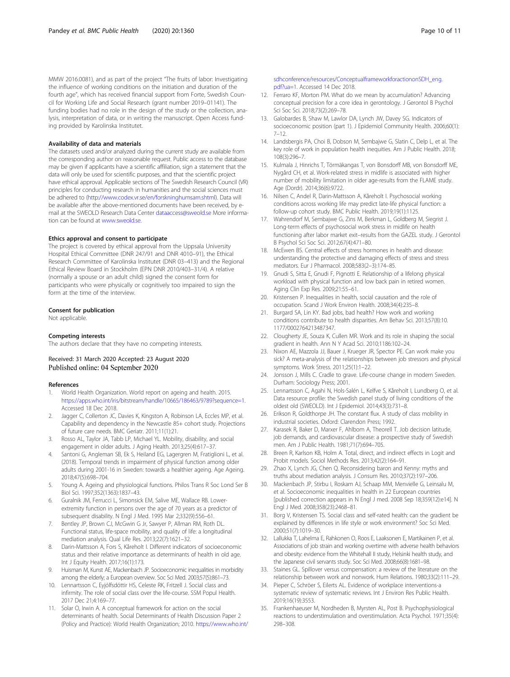<span id="page-9-0"></span>MMW 2016.0081), and as part of the project "The fruits of labor: Investigating the influence of working conditions on the initiation and duration of the fourth age", which has received financial support from Forte, Swedish Council for Working Life and Social Research (grant number 2019–01141). The funding bodies had no role in the design of the study or the collection, analysis, interpretation of data, or in writing the manuscript. Open Access funding provided by Karolinska Institutet.

#### Availability of data and materials

The datasets used and/or analyzed during the current study are available from the corresponding author on reasonable request. Public access to the database may be given if applicants have a scientific affiliation, sign a statement that the data will only be used for scientific purposes, and that the scientific project have ethical approval. Applicable sections of The Swedish Research Council (VR) principles for conducting research in humanities and the social sciences must be adhered to [\(http://www.codex.vr.se/en/forskninghumsam.shtml\)](http://www.codex.vr.se/en/forskninghumsam.shtml). Data will be available after the above-mentioned documents have been received, by email at the SWEOLD Research Data Center [dataaccess@sweold.se](mailto:dataaccess@sweold.se) More information can be found at [www.sweold.se](http://www.sweold.se).

#### Ethics approval and consent to participate

The project is covered by ethical approval from the Uppsala University Hospital Ethical Committee (DNR 247/91 and DNR 4010–91), the Ethical Research Committee of Karolinska Institutet (DNR 03–413) and the Regional Ethical Review Board in Stockholm (EPN DNR 2010/403–31/4). A relative (normally a spouse or an adult child) signed the consent form for participants who were physically or cognitively too impaired to sign the form at the time of the interview.

#### Consent for publication

Not applicable.

#### Competing interests

The authors declare that they have no competing interests.

#### Received: 31 March 2020 Accepted: 23 August 2020 Published online: 04 September 2020

#### References

- 1. World Health Organization. World report on ageing and health. 2015. [https://apps.who.int/iris/bitstream/handle/10665/186463/9789?sequence=1.](https://apps.who.int/iris/bitstream/handle/10665/186463/9789?sequence=1) Accessed 18 Dec 2018.
- 2. Jagger C, Collerton JC, Davies K, Kingston A, Robinson LA, Eccles MP, et al. Capability and dependency in the Newcastle 85+ cohort study. Projections of future care needs. BMC Geriatr. 2011;11(1):21.
- 3. Rosso AL, Taylor JA, Tabb LP, Michael YL. Mobility, disability, and social engagement in older adults. J Aging Health. 2013;25(4):617–37.
- 4. Santoni G, Angleman SB, Ek S, Heiland EG, Lagergren M, Fratiglioni L, et al. (2018). Temporal trends in impairment of physical function among older adults during 2001-16 in Sweden: towards a healthier ageing. Age Ageing. 2018;47(5):698–704.
- 5. Young A. Ageing and physiological functions. Philos Trans R Soc Lond Ser B Biol Sci. 1997;352(1363):1837–43.
- 6. Guralnik JM, Ferrucci L, Simonsick EM, Salive ME, Wallace RB. Lowerextremity function in persons over the age of 70 years as a predictor of subsequent disability. N Engl J Med. 1995 Mar 2;332(9):556–61.
- 7. Bentley JP, Brown CJ, McGwin G Jr, Sawyer P, Allman RM, Roth DL. Functional status, life-space mobility, and quality of life: a longitudinal mediation analysis. Qual Life Res. 2013;22(7):1621–32.
- 8. Darin-Mattsson A, Fors S, Kåreholt I. Different indicators of socioeconomic status and their relative importance as determinants of health in old age. Int J Equity Health. 2017;16(1):173.
- 9. Huisman M, Kunst AE, Mackenbach JP. Socioeconomic inequalities in morbidity among the elderly; a European overview. Soc Sci Med. 2003;57(5):861–73.
- 10. Lennartsson C, Eyjólfsdóttir HS, Celeste RK, Fritzell J. Social class and infirmity. The role of social class over the life-course. SSM Popul Health. 2017 Dec 21;4:169–77.
- 11. Solar O, Irwin A. A conceptual framework for action on the social determinants of health. Social Determinants of Health Discussion Paper 2 (Policy and Practice): World Health Organization; 2010. [https://www.who.int/](https://www.who.int/sdhconference/resources/ConceptualframeworkforactiononSDH_eng.pdf?ua=1)

[sdhconference/resources/ConceptualframeworkforactiononSDH\\_eng.](https://www.who.int/sdhconference/resources/ConceptualframeworkforactiononSDH_eng.pdf?ua=1) [pdf?ua=1.](https://www.who.int/sdhconference/resources/ConceptualframeworkforactiononSDH_eng.pdf?ua=1) Accessed 14 Dec 2018.

- 12. Ferraro KF, Morton PM. What do we mean by accumulation? Advancing conceptual precision for a core idea in gerontology. J Gerontol B Psychol Sci Soc Sci. 2018;73(2):269–78.
- 13. Galobardes B, Shaw M, Lawlor DA, Lynch JW, Davey SG. Indicators of socioeconomic position (part 1). J Epidemiol Community Health. 2006;60(1): 7–12.
- 14. Landsbergis PA, Choi B, Dobson M, Sembajwe G, Slatin C, Delp L, et al. The key role of work in population health inequities. Am J Public Health. 2018; 108(3):296–7.
- 15. Kulmala J, Hinrichs T, Törmäkangas T, von Bonsdorff MB, von Bonsdorff ME, Nygård CH, et al. Work-related stress in midlife is associated with higher number of mobility limitation in older age-results from the FLAME study. Age (Dordr). 2014;36(6):9722.
- 16. Nilsen C, Andel R, Darin-Mattsson A, Kåreholt I. Psychosocial working conditions across working life may predict late-life physical function: a follow-up cohort study. BMC Public Health. 2019;19(1):1125.
- 17. Wahrendorf M, Sembajwe G, Zins M, Berkman L, Goldberg M, Siegrist J. Long-term effects of psychosocial work stress in midlife on health functioning after labor market exit–results from the GAZEL study. J Gerontol B Psychol Sci Soc Sci. 2012;67(4):471–80.
- 18. McEwen BS. Central effects of stress hormones in health and disease: understanding the protective and damaging effects of stress and stress mediators. Eur J Pharmacol. 2008;583(2–3):174–85.
- 19. Gnudi S, Sitta E, Gnudi F, Pignotti E. Relationship of a lifelong physical workload with physical function and low back pain in retired women. Aging Clin Exp Res. 2009;21:55–61.
- 20. Kristensen P. Inequalities in health, social causation and the role of occupation. Scand J Work Environ Health. 2008;34(4):235–8.
- 21. Burgard SA, Lin KY. Bad jobs, bad health? How work and working conditions contribute to health disparities. Am Behav Sci. 2013;57(8):10. 1177/0002764213487347.
- 22. Clougherty JE, Souza K, Cullen MR. Work and its role in shaping the social gradient in health. Ann N Y Acad Sci. 2010;1186:102–24.
- 23. Nixon AE, Mazzola JJ, Bauer J, Krueger JR, Spector PE. Can work make you sick? A meta-analysis of the relationships between job stressors and physical symptoms. Work Stress. 2011;25(1):1–22.
- 24. Jonsson J, Mills C. Cradle to grave. Life-course change in modern Sweden. Durham: Sociology Press; 2001.
- 25. Lennartsson C, Agahi N, Hols-Salén L, Kelfve S, Kåreholt I, Lundberg O, et al. Data resource profile: the Swedish panel study of living conditions of the oldest old (SWEOLD). Int J Epidemiol. 2014;43(3):731–8.
- 26. Erikson R, Goldthorpe JH. The constant flux. A study of class mobility in industrial societies. Oxford: Clarendon Press; 1992.
- 27. Karasek R, Baker D, Marxer F, Ahlbom A, Theorell T. Job decision latitude, job demands, and cardiovascular disease: a prospective study of Swedish men. Am J Public Health. 1981;71(7):694–705.
- 28. Breen R, Karlson KB, Holm A. Total, direct, and indirect effects in Logit and Probit models. Sociol Methods Res. 2013;42(2):164–91.
- 29. Zhao X, Lynch JG, Chen Q. Reconsidering baron and Kenny: myths and truths about mediation analysis. J Consum Res. 2010;37(2):197–206.
- 30. Mackenbach JP, Stirbu I, Roskam AJ, Schaap MM, Menvielle G, Leinsalu M, et al. Socioeconomic inequalities in health in 22 European countries [published correction appears in N Engl J med. 2008 Sep 18;359(12):e14]. N Engl J Med. 2008;358(23):2468–81.
- 31. Borg V, Kristensen TS. Social class and self-rated health: can the gradient be explained by differences in life style or work environment? Soc Sci Med. 2000;51(7):1019–30.
- 32. Lallukka T, Lahelma E, Rahkonen O, Roos E, Laaksonen E, Martikainen P, et al. Associations of job strain and working overtime with adverse health behaviors and obesity: evidence from the Whitehall II study, Helsinki health study, and the Japanese civil servants study. Soc Sci Med. 2008;66(8):1681–98.
- 33. Staines GL. Spillover versus compensation: a review of the literature on the relationship between work and nonwork. Hum Relations. 1980;33(2):111–29.
- 34. Pieper C, Schröer S, Eilerts AL. Evidence of workplace interventions-a systematic review of systematic reviews. Int J Environ Res Public Health. 2019;16(19):3553.
- 35. Frankenhaeuser M, Nordheden B, Myrsten AL, Post B. Psychophysiological reactions to understimulation and overstimulation. Acta Psychol. 1971;35(4): 298–308.